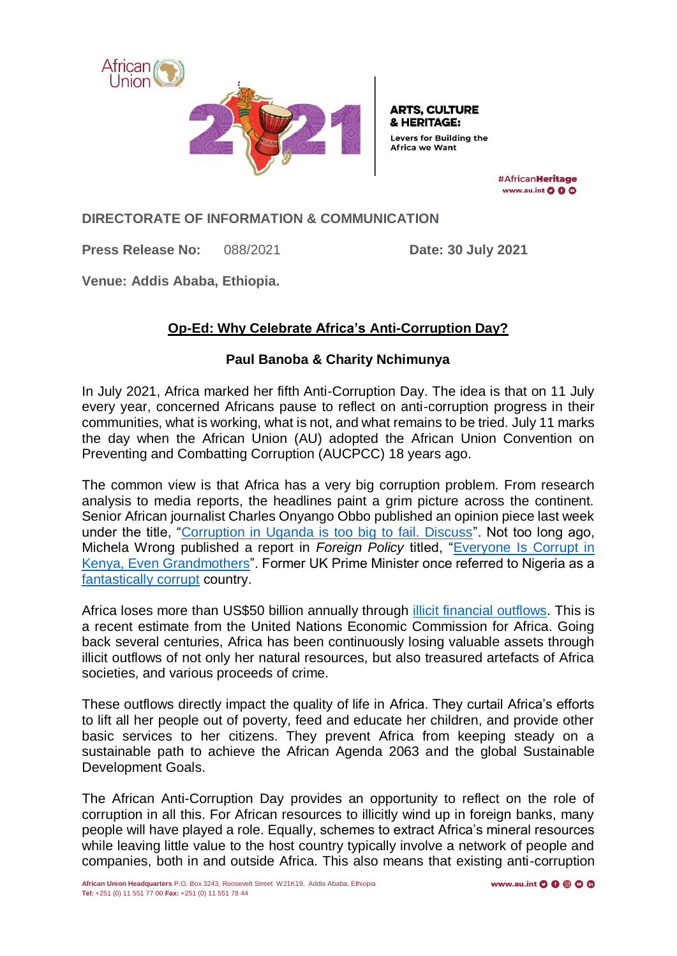

**ARTS. CULTURE** & HERITAGE: **Levers for Building the Africa we Want** 

> #AfricanHeritage www.au.int O O O

**DIRECTORATE OF INFORMATION & COMMUNICATION**

**Press Release No:** 088/2021 **Date: 30 July 2021**

**Venue: Addis Ababa, Ethiopia.**

## **Op-Ed: Why Celebrate Africa's Anti-Corruption Day?**

## **Paul Banoba & Charity Nchimunya**

In July 2021, Africa marked her fifth Anti-Corruption Day. The idea is that on 11 July every year, concerned Africans pause to reflect on anti-corruption progress in their communities, what is working, what is not, and what remains to be tried. July 11 marks the day when the African Union (AU) adopted the African Union Convention on Preventing and Combatting Corruption (AUCPCC) 18 years ago.

The common view is that Africa has a very big corruption problem. From research analysis to media reports, the headlines paint a grim picture across the continent. Senior African journalist Charles Onyango Obbo published an opinion piece last week under the title, ["Corruption in Uganda is too big to fail. Discuss"](https://www.monitor.co.ug/uganda/oped/columnists/charles-onyango-obbo/corruption-in-uganda-is-too-big-to-fail-discuss-3472426). Not too long ago, Michela Wrong published a report in *Foreign Policy* titled, ["Everyone Is Corrupt in](https://foreignpolicy.com/2014/05/06/everyone-is-corrupt-in-kenya-even-grandmothers/)  [Kenya, Even Grandmothers"](https://foreignpolicy.com/2014/05/06/everyone-is-corrupt-in-kenya-even-grandmothers/). Former UK Prime Minister once referred to Nigeria as a [fantastically corrupt](https://www.bbc.com/news/uk-politics-36260193) country.

Africa loses more than US\$50 billion annually through [illicit financial outflows.](https://repository.uneca.org/handle/10855/22695) This is a recent estimate from the United Nations Economic Commission for Africa. Going back several centuries, Africa has been continuously losing valuable assets through illicit outflows of not only her natural resources, but also treasured artefacts of Africa societies, and various proceeds of crime.

These outflows directly impact the quality of life in Africa. They curtail Africa's efforts to lift all her people out of poverty, feed and educate her children, and provide other basic services to her citizens. They prevent Africa from keeping steady on a sustainable path to achieve the African Agenda 2063 and the global Sustainable Development Goals.

The African Anti-Corruption Day provides an opportunity to reflect on the role of corruption in all this. For African resources to illicitly wind up in foreign banks, many people will have played a role. Equally, schemes to extract Africa's mineral resources while leaving little value to the host country typically involve a network of people and companies, both in and outside Africa. This also means that existing anti-corruption